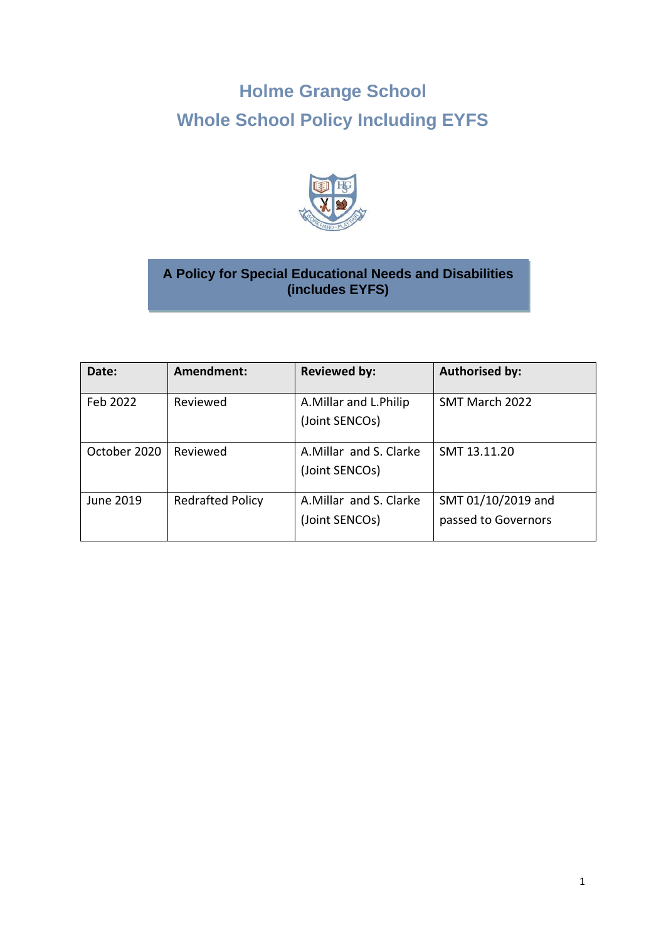# **Holme Grange School Whole School Policy Including EYFS**



### **A Policy for Special Educational Needs and Disabilities (includes EYFS)**

| Date:        | Amendment:              | <b>Reviewed by:</b>                       | <b>Authorised by:</b>                     |
|--------------|-------------------------|-------------------------------------------|-------------------------------------------|
| Feb 2022     | Reviewed                | A. Millar and L. Philip<br>(Joint SENCOs) | SMT March 2022                            |
| October 2020 | Reviewed                | A. Millar and S. Clarke<br>(Joint SENCOs) | SMT 13.11.20                              |
| June 2019    | <b>Redrafted Policy</b> | A. Millar and S. Clarke<br>(Joint SENCOs) | SMT 01/10/2019 and<br>passed to Governors |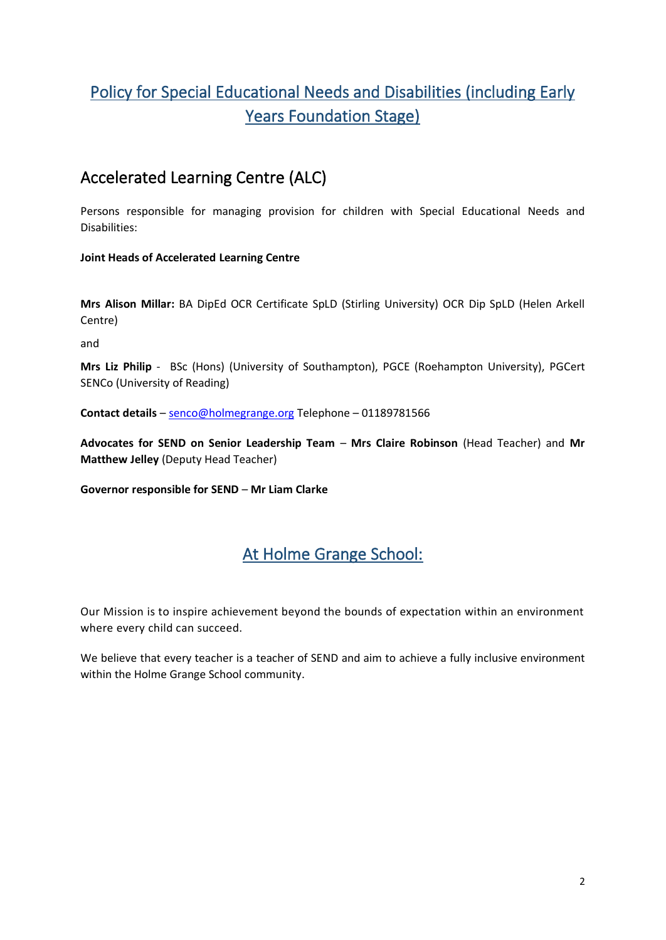## Policy for Special Educational Needs and Disabilities (including Early Years Foundation Stage)

## Accelerated Learning Centre (ALC)

Persons responsible for managing provision for children with Special Educational Needs and Disabilities:

#### **Joint Heads of Accelerated Learning Centre**

**Mrs Alison Millar:** BA DipEd OCR Certificate SpLD (Stirling University) OCR Dip SpLD (Helen Arkell Centre)

and

**Mrs Liz Philip** - BSc (Hons) (University of Southampton), PGCE (Roehampton University), PGCert SENCo (University of Reading)

**Contact details** – [senco@holmegrange.org](mailto:senco@holmegrange.org) Telephone – 01189781566

**Advocates for SEND on Senior Leadership Team** – **Mrs Claire Robinson** (Head Teacher) and **Mr Matthew Jelley** (Deputy Head Teacher)

**Governor responsible for SEND** – **Mr Liam Clarke**

## At Holme Grange School:

Our Mission is to inspire achievement beyond the bounds of expectation within an environment where every child can succeed.

We believe that every teacher is a teacher of SEND and aim to achieve a fully inclusive environment within the Holme Grange School community.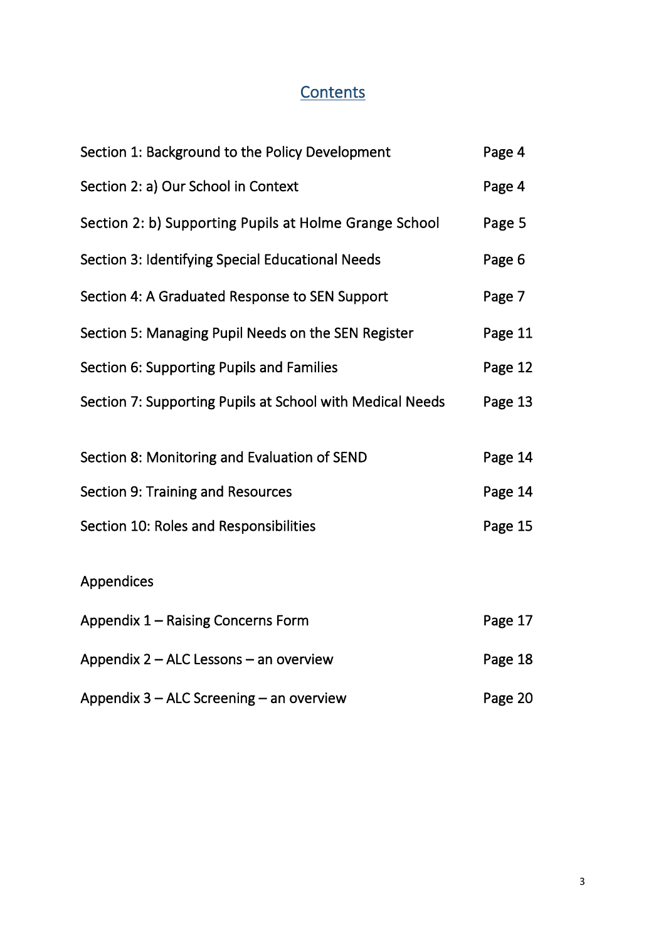## **Contents**

| Section 1: Background to the Policy Development           | Page 4  |
|-----------------------------------------------------------|---------|
| Section 2: a) Our School in Context                       | Page 4  |
| Section 2: b) Supporting Pupils at Holme Grange School    | Page 5  |
| Section 3: Identifying Special Educational Needs          | Page 6  |
| Section 4: A Graduated Response to SEN Support            | Page 7  |
| Section 5: Managing Pupil Needs on the SEN Register       | Page 11 |
| Section 6: Supporting Pupils and Families                 | Page 12 |
| Section 7: Supporting Pupils at School with Medical Needs | Page 13 |
| Section 8: Monitoring and Evaluation of SEND              | Page 14 |
| Section 9: Training and Resources                         | Page 14 |
| Section 10: Roles and Responsibilities                    | Page 15 |
| Appendices                                                |         |
| Appendix 1 – Raising Concerns Form                        | Page 17 |
| Appendix 2 - ALC Lessons - an overview                    | Page 18 |
| Appendix 3 - ALC Screening - an overview                  | Page 20 |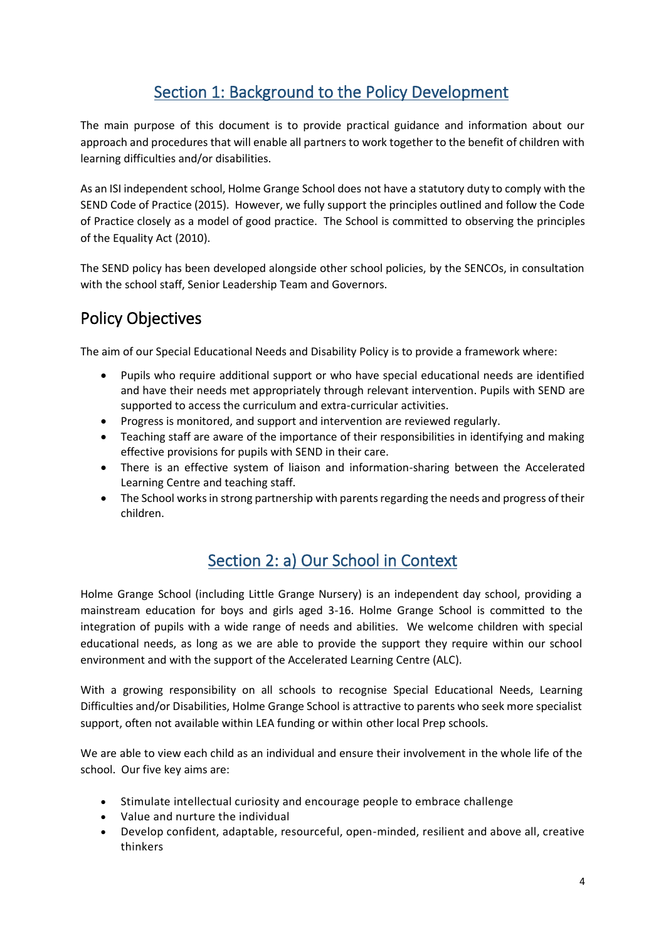## Section 1: Background to the Policy Development

The main purpose of this document is to provide practical guidance and information about our approach and procedures that will enable all partners to work together to the benefit of children with learning difficulties and/or disabilities.

As an ISI independent school, Holme Grange School does not have a statutory duty to comply with the SEND Code of Practice (2015). However, we fully support the principles outlined and follow the Code of Practice closely as a model of good practice. The School is committed to observing the principles of the Equality Act (2010).

The SEND policy has been developed alongside other school policies, by the SENCOs, in consultation with the school staff, Senior Leadership Team and Governors.

## Policy Objectives

The aim of our Special Educational Needs and Disability Policy is to provide a framework where:

- Pupils who require additional support or who have special educational needs are identified and have their needs met appropriately through relevant intervention. Pupils with SEND are supported to access the curriculum and extra-curricular activities.
- Progress is monitored, and support and intervention are reviewed regularly.
- Teaching staff are aware of the importance of their responsibilities in identifying and making effective provisions for pupils with SEND in their care.
- There is an effective system of liaison and information-sharing between the Accelerated Learning Centre and teaching staff.
- The School works in strong partnership with parents regarding the needs and progress of their children.

## Section 2: a) Our School in Context

Holme Grange School (including Little Grange Nursery) is an independent day school, providing a mainstream education for boys and girls aged 3-16. Holme Grange School is committed to the integration of pupils with a wide range of needs and abilities. We welcome children with special educational needs, as long as we are able to provide the support they require within our school environment and with the support of the Accelerated Learning Centre (ALC).

With a growing responsibility on all schools to recognise Special Educational Needs, Learning Difficulties and/or Disabilities, Holme Grange School is attractive to parents who seek more specialist support, often not available within LEA funding or within other local Prep schools.

We are able to view each child as an individual and ensure their involvement in the whole life of the school. Our five key aims are:

- Stimulate intellectual curiosity and encourage people to embrace challenge
- Value and nurture the individual
- Develop confident, adaptable, resourceful, open-minded, resilient and above all, creative thinkers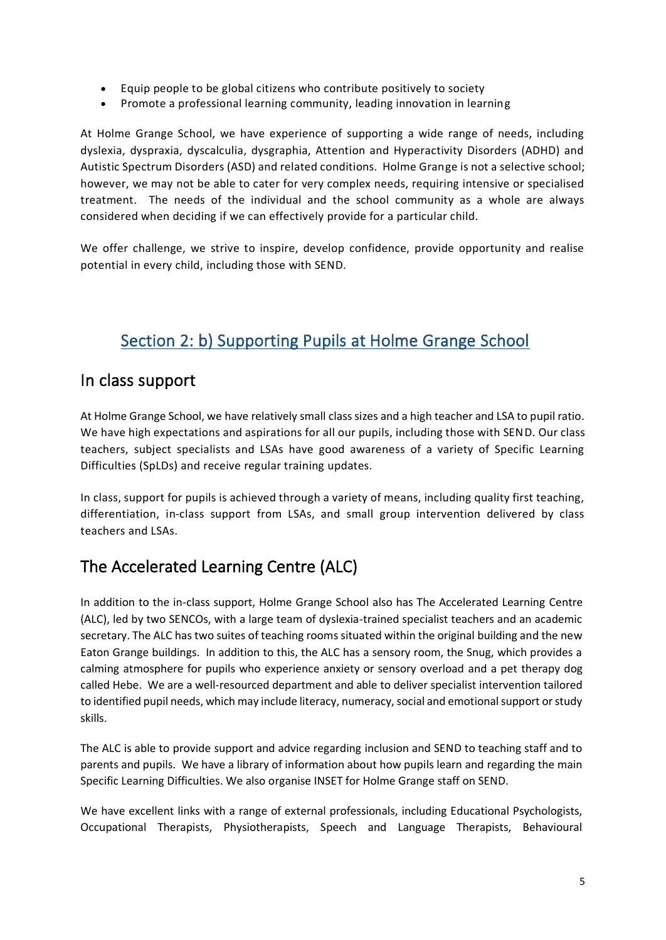- Equip people to be global citizens who contribute positively to society
- Promote a professional learning community, leading innovation in learning

At Holme Grange School, we have experience of supporting a wide range of needs, including dyslexia, dyspraxia, dyscalculia, dysgraphia, Attention and Hyperactivity Disorders (ADHD) and Autistic Spectrum Disorders (ASD) and related conditions. Holme Grange is not a selective school; however, we may not be able to cater for very complex needs, requiring intensive or specialised treatment. The needs of the individual and the school community as a whole are always considered when deciding if we can effectively provide for a particular child.

We offer challenge, we strive to inspire, develop confidence, provide opportunity and realise potential in every child, including those with SEND.

## Section 2: b) Supporting Pupils at Holme Grange School

### In class support

At Holme Grange School, we have relatively small class sizes and a high teacher and LSA to pupil ratio. We have high expectations and aspirations for all our pupils, including those with SEND. Our class teachers, subject specialists and LSAs have good awareness of a variety of Specific Learning Difficulties (SpLDs) and receive regular training updates.

In class, support for pupils is achieved through a variety of means, including quality first teaching, differentiation, in-class support from LSAs, and small group intervention delivered by class teachers and LSAs.

## The Accelerated Learning Centre (ALC)

In addition to the in-class support, Holme Grange School also has The Accelerated Learning Centre (ALC), led by two SENCOs, with a large team of dyslexia-trained specialist teachers and an academic secretary. The ALC has two suites of teaching rooms situated within the original building and the new Eaton Grange buildings. In addition to this, the ALC has a sensory room, the Snug, which provides a calming atmosphere for pupils who experience anxiety or sensory overload and a pet therapy dog called Hebe. We are a well-resourced department and able to deliver specialist intervention tailored to identified pupil needs, which may include literacy, numeracy, social and emotional support or study skills.

The ALC is able to provide support and advice regarding inclusion and SEND to teaching staff and to parents and pupils. We have a library of information about how pupils learn and regarding the main Specific Learning Difficulties. We also organise INSET for Holme Grange staff on SEND.

We have excellent links with a range of external professionals, including Educational Psychologists, Occupational Therapists, Physiotherapists, Speech and Language Therapists, Behavioural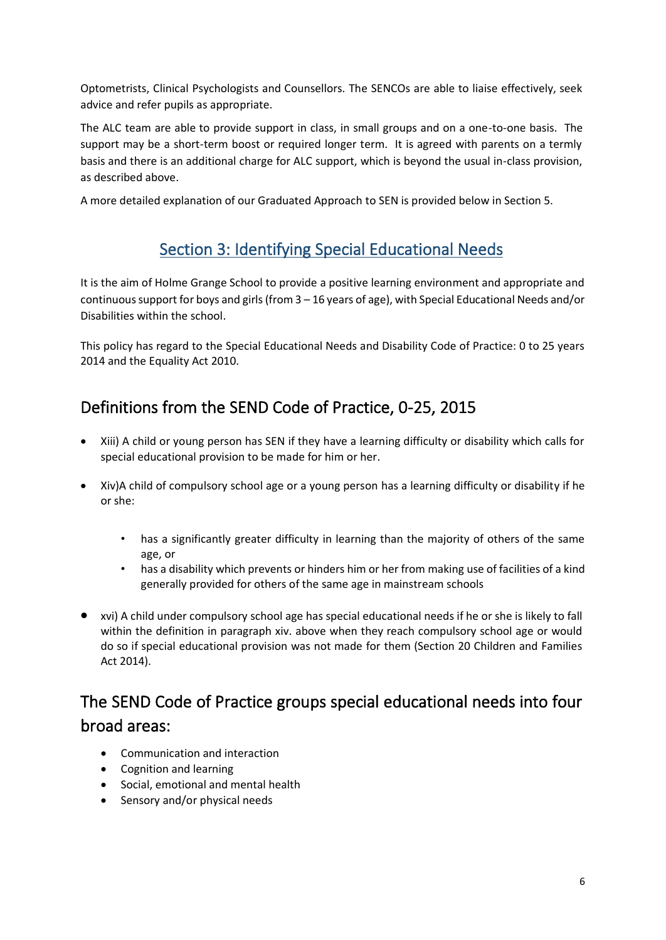Optometrists, Clinical Psychologists and Counsellors. The SENCOs are able to liaise effectively, seek advice and refer pupils as appropriate.

The ALC team are able to provide support in class, in small groups and on a one-to-one basis. The support may be a short-term boost or required longer term. It is agreed with parents on a termly basis and there is an additional charge for ALC support, which is beyond the usual in-class provision, as described above.

A more detailed explanation of our Graduated Approach to SEN is provided below in Section 5.

## Section 3: Identifying Special Educational Needs

It is the aim of Holme Grange School to provide a positive learning environment and appropriate and continuous support for boys and girls (from 3 – 16 years of age), with Special Educational Needs and/or Disabilities within the school.

This policy has regard to the Special Educational Needs and Disability Code of Practice: 0 to 25 years 2014 and the Equality Act 2010.

## Definitions from the SEND Code of Practice, 0-25, 2015

- Xiii) A child or young person has SEN if they have a learning difficulty or disability which calls for special educational provision to be made for him or her.
- Xiv)A child of compulsory school age or a young person has a learning difficulty or disability if he or she:
	- has a significantly greater difficulty in learning than the majority of others of the same age, or
	- has a disability which prevents or hinders him or her from making use of facilities of a kind generally provided for others of the same age in mainstream schools
- xvi) A child under compulsory school age has special educational needs if he or she is likely to fall within the definition in paragraph xiv. above when they reach compulsory school age or would do so if special educational provision was not made for them (Section 20 Children and Families Act 2014).

## The SEND Code of Practice groups special educational needs into four broad areas:

- Communication and interaction
- Cognition and learning
- Social, emotional and mental health
- Sensory and/or physical needs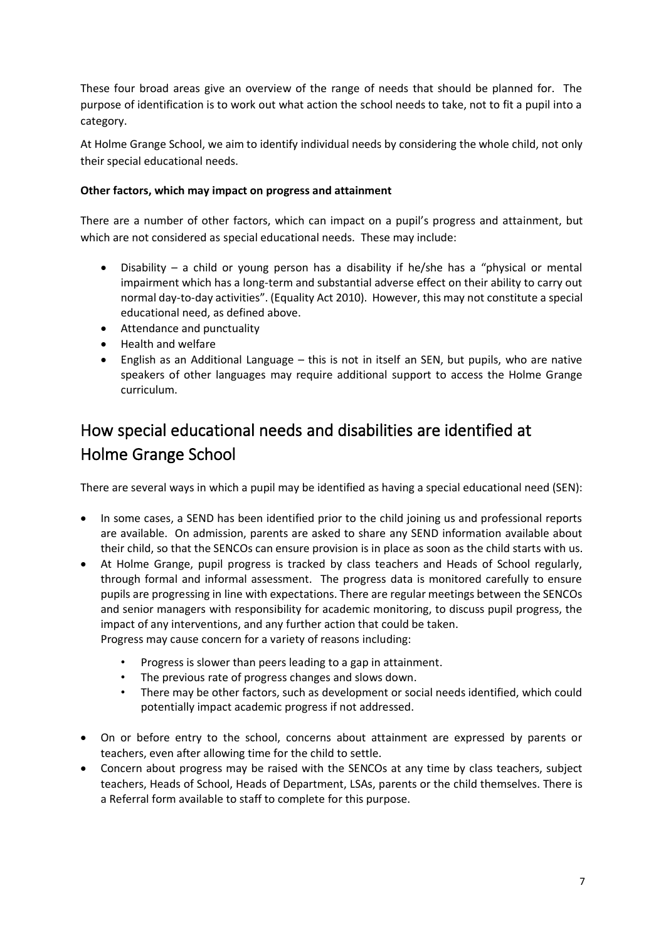These four broad areas give an overview of the range of needs that should be planned for. The purpose of identification is to work out what action the school needs to take, not to fit a pupil into a category.

At Holme Grange School, we aim to identify individual needs by considering the whole child, not only their special educational needs.

#### **Other factors, which may impact on progress and attainment**

There are a number of other factors, which can impact on a pupil's progress and attainment, but which are not considered as special educational needs. These may include:

- Disability a child or young person has a disability if he/she has a "physical or mental impairment which has a long-term and substantial adverse effect on their ability to carry out normal day-to-day activities". (Equality Act 2010). However, this may not constitute a special educational need, as defined above.
- Attendance and punctuality
- Health and welfare
- English as an Additional Language this is not in itself an SEN, but pupils, who are native speakers of other languages may require additional support to access the Holme Grange curriculum.

## How special educational needs and disabilities are identified at Holme Grange School

There are several ways in which a pupil may be identified as having a special educational need (SEN):

- In some cases, a SEND has been identified prior to the child joining us and professional reports are available. On admission, parents are asked to share any SEND information available about their child, so that the SENCOs can ensure provision is in place as soon as the child starts with us.
- At Holme Grange, pupil progress is tracked by class teachers and Heads of School regularly, through formal and informal assessment. The progress data is monitored carefully to ensure pupils are progressing in line with expectations. There are regular meetings between the SENCOs and senior managers with responsibility for academic monitoring, to discuss pupil progress, the impact of any interventions, and any further action that could be taken. Progress may cause concern for a variety of reasons including:
	- Progress is slower than peers leading to a gap in attainment.
	- The previous rate of progress changes and slows down.
	- There may be other factors, such as development or social needs identified, which could potentially impact academic progress if not addressed.
- On or before entry to the school, concerns about attainment are expressed by parents or teachers, even after allowing time for the child to settle.
- Concern about progress may be raised with the SENCOs at any time by class teachers, subject teachers, Heads of School, Heads of Department, LSAs, parents or the child themselves. There is a Referral form available to staff to complete for this purpose.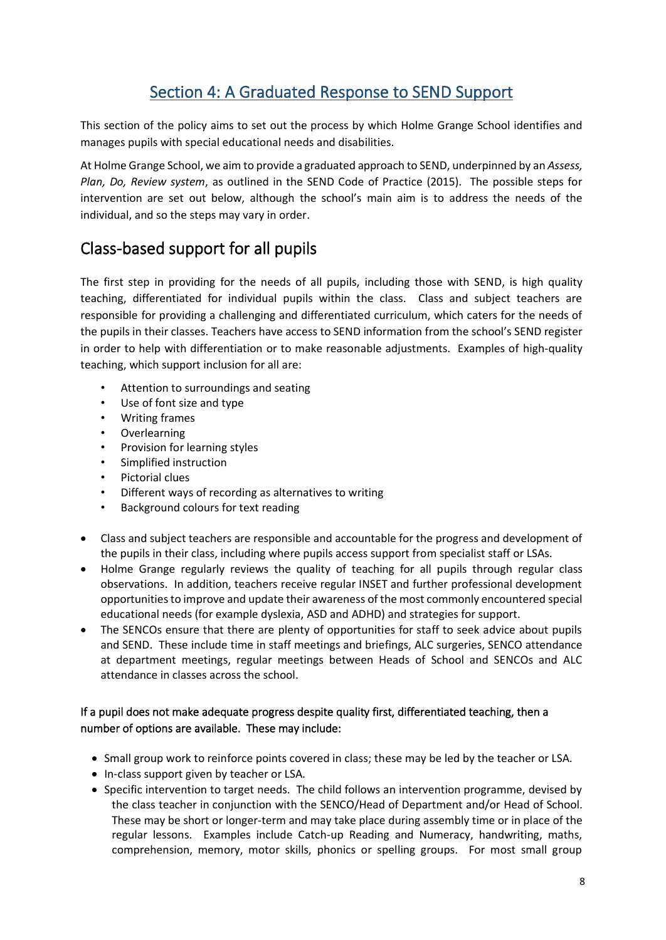## Section 4: A Graduated Response to SEND Support

This section of the policy aims to set out the process by which Holme Grange School identifies and manages pupils with special educational needs and disabilities.

At Holme Grange School, we aim to provide a graduated approach to SEND, underpinned by an *Assess, Plan, Do, Review system*, as outlined in the SEND Code of Practice (2015). The possible steps for intervention are set out below, although the school's main aim is to address the needs of the individual, and so the steps may vary in order.

## Class-based support for all pupils

The first step in providing for the needs of all pupils, including those with SEND, is high quality teaching, differentiated for individual pupils within the class. Class and subject teachers are responsible for providing a challenging and differentiated curriculum, which caters for the needs of the pupils in their classes. Teachers have access to SEND information from the school's SEND register in order to help with differentiation or to make reasonable adjustments. Examples of high-quality teaching, which support inclusion for all are:

- Attention to surroundings and seating
- Use of font size and type
- Writing frames
- Overlearning
- Provision for learning styles
- Simplified instruction
- Pictorial clues
- Different ways of recording as alternatives to writing
- Background colours for text reading
- Class and subject teachers are responsible and accountable for the progress and development of the pupils in their class, including where pupils access support from specialist staff or LSAs.
- Holme Grange regularly reviews the quality of teaching for all pupils through regular class observations. In addition, teachers receive regular INSET and further professional development opportunities to improve and update their awareness of the most commonly encountered special educational needs (for example dyslexia, ASD and ADHD) and strategies for support.
- The SENCOs ensure that there are plenty of opportunities for staff to seek advice about pupils and SEND. These include time in staff meetings and briefings, ALC surgeries, SENCO attendance at department meetings, regular meetings between Heads of School and SENCOs and ALC attendance in classes across the school.

#### If a pupil does not make adequate progress despite quality first, differentiated teaching, then a number of options are available. These may include:

- Small group work to reinforce points covered in class; these may be led by the teacher or LSA.
- In-class support given by teacher or LSA.
- Specific intervention to target needs. The child follows an intervention programme, devised by the class teacher in conjunction with the SENCO/Head of Department and/or Head of School. These may be short or longer-term and may take place during assembly time or in place of the regular lessons. Examples include Catch-up Reading and Numeracy, handwriting, maths, comprehension, memory, motor skills, phonics or spelling groups. For most small group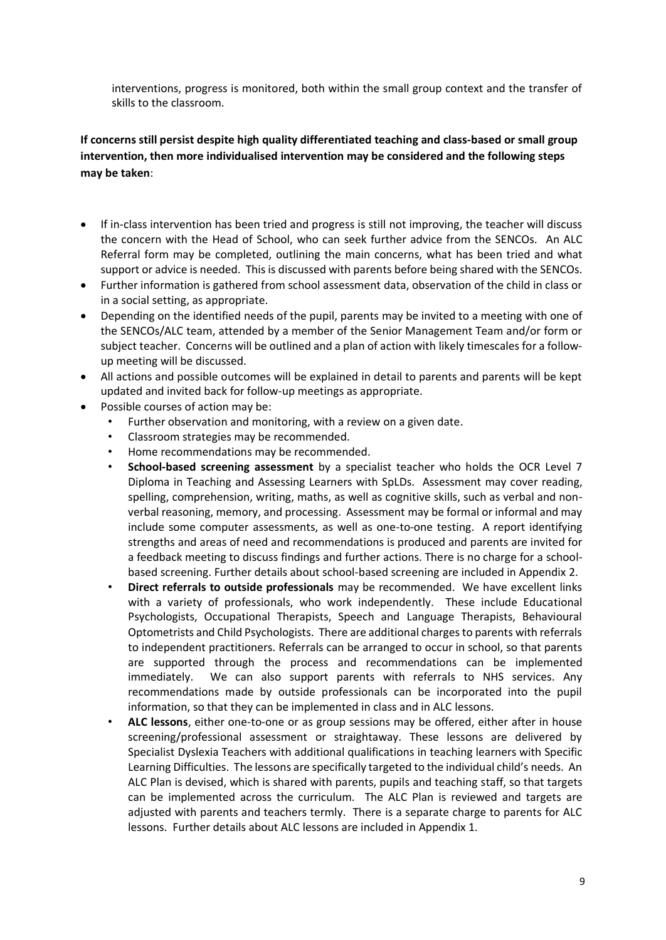interventions, progress is monitored, both within the small group context and the transfer of skills to the classroom.

#### **If concerns still persist despite high quality differentiated teaching and class-based or small group intervention, then more individualised intervention may be considered and the following steps may be taken**:

- If in-class intervention has been tried and progress is still not improving, the teacher will discuss the concern with the Head of School, who can seek further advice from the SENCOs. An ALC Referral form may be completed, outlining the main concerns, what has been tried and what support or advice is needed. This is discussed with parents before being shared with the SENCOs.
- Further information is gathered from school assessment data, observation of the child in class or in a social setting, as appropriate.
- Depending on the identified needs of the pupil, parents may be invited to a meeting with one of the SENCOs/ALC team, attended by a member of the Senior Management Team and/or form or subject teacher. Concerns will be outlined and a plan of action with likely timescales for a followup meeting will be discussed.
- All actions and possible outcomes will be explained in detail to parents and parents will be kept updated and invited back for follow-up meetings as appropriate.
- Possible courses of action may be:
	- Further observation and monitoring, with a review on a given date.
	- Classroom strategies may be recommended.
	- Home recommendations may be recommended.
	- **School-based screening assessment** by a specialist teacher who holds the OCR Level 7 Diploma in Teaching and Assessing Learners with SpLDs. Assessment may cover reading, spelling, comprehension, writing, maths, as well as cognitive skills, such as verbal and nonverbal reasoning, memory, and processing. Assessment may be formal or informal and may include some computer assessments, as well as one-to-one testing. A report identifying strengths and areas of need and recommendations is produced and parents are invited for a feedback meeting to discuss findings and further actions. There is no charge for a schoolbased screening. Further details about school-based screening are included in Appendix 2.
	- **Direct referrals to outside professionals** may be recommended. We have excellent links with a variety of professionals, who work independently. These include Educational Psychologists, Occupational Therapists, Speech and Language Therapists, Behavioural Optometrists and Child Psychologists. There are additional charges to parents with referrals to independent practitioners. Referrals can be arranged to occur in school, so that parents are supported through the process and recommendations can be implemented immediately. We can also support parents with referrals to NHS services. Any recommendations made by outside professionals can be incorporated into the pupil information, so that they can be implemented in class and in ALC lessons.
	- **ALC lessons**, either one-to-one or as group sessions may be offered, either after in house screening/professional assessment or straightaway. These lessons are delivered by Specialist Dyslexia Teachers with additional qualifications in teaching learners with Specific Learning Difficulties. The lessons are specifically targeted to the individual child's needs. An ALC Plan is devised, which is shared with parents, pupils and teaching staff, so that targets can be implemented across the curriculum. The ALC Plan is reviewed and targets are adjusted with parents and teachers termly. There is a separate charge to parents for ALC lessons. Further details about ALC lessons are included in Appendix 1.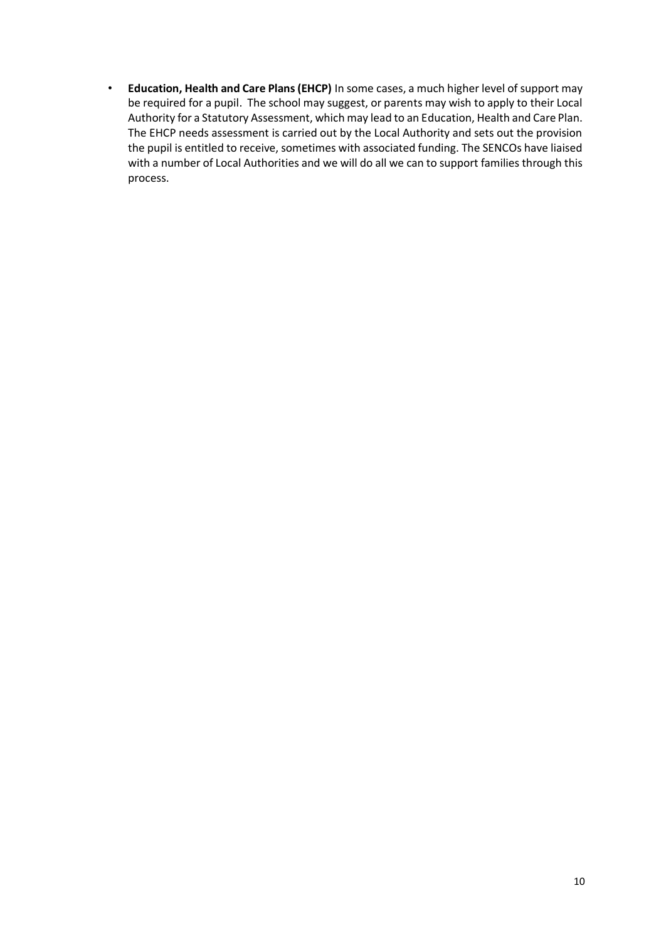• **Education, Health and Care Plans (EHCP)** In some cases, a much higher level of support may be required for a pupil. The school may suggest, or parents may wish to apply to their Local Authority for a Statutory Assessment, which may lead to an Education, Health and Care Plan. The EHCP needs assessment is carried out by the Local Authority and sets out the provision the pupil is entitled to receive, sometimes with associated funding. The SENCOs have liaised with a number of Local Authorities and we will do all we can to support families through this process.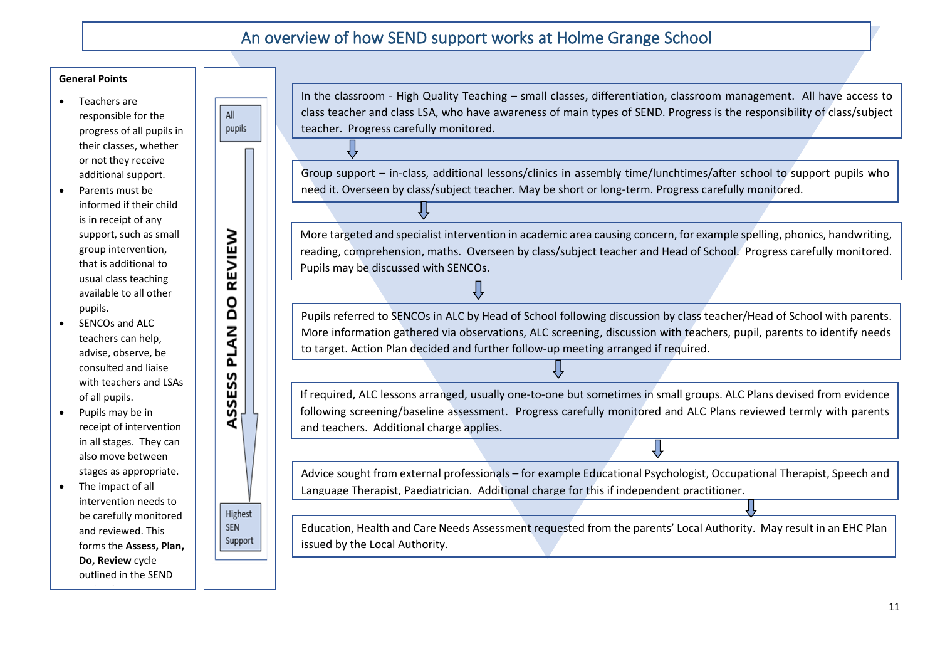### An overview of how SEND support works at Holme Grange School

ſ

#### **General Points**

 $\overline{a}$ 

- Teachers are responsible for the progress of all pupils in their classes, whether or not they receive additional support.
- Parents must be informed if their child is in receipt of any support, such as small group intervention, that is additional to usual class teaching available to all other pupils.
- SENCOs and ALC teachers can help, advise, observe, be consulted and liaise with teachers and LSAs of all pupils.
- Pupils may be in receipt of intervention in all stages. They can also move between stages as appropriate.
- The impact of all intervention needs to be carefully monitored and reviewed. This forms the **Assess, Plan, Do, Review** cycle outlined in the SEND

Code of Practice 0-25,



₹

Highest **SEN** Support In the classroom - High Quality Teaching – small classes, differentiation, classroom management. All have access to class teacher and class LSA, who have awareness of main types of SEND. Progress is the responsibility of class/subject teacher. Progress carefully monitored.

Group support – in-class, additional lessons/clinics in assembly time/lunchtimes/after school to support pupils who need it. Overseen by class/subject teacher. May be short or long-term. Progress carefully monitored.

More targeted and specialist intervention in academic area causing concern, for example spelling, phonics, handwriting, reading, comprehension, maths. Overseen by class/subject teacher and Head of School. Progress carefully monitored. Pupils may be discussed with SENCOs.

Pupils referred to SENCOs in ALC by Head of School following discussion by class teacher/Head of School with parents. More information gathered via observations, ALC screening, discussion with teachers, pupil, parents to identify needs to target. Action Plan decided and further follow-up meeting arranged if required.

If required, ALC lessons arranged, usually one-to-one but sometimes in small groups. ALC Plans devised from evidence following screening/baseline assessment. Progress carefully monitored and ALC Plans reviewed termly with parents and teachers. Additional charge applies.

ſſ

Advice sought from external professionals – for example Educational Psychologist, Occupational Therapist, Speech and Language Therapist, Paediatrician. Additional charge for this if independent practitioner.

Education, Health and Care Needs Assessment requested from the parents' Local Authority. May result in an EHC Plan issued by the Local Authority.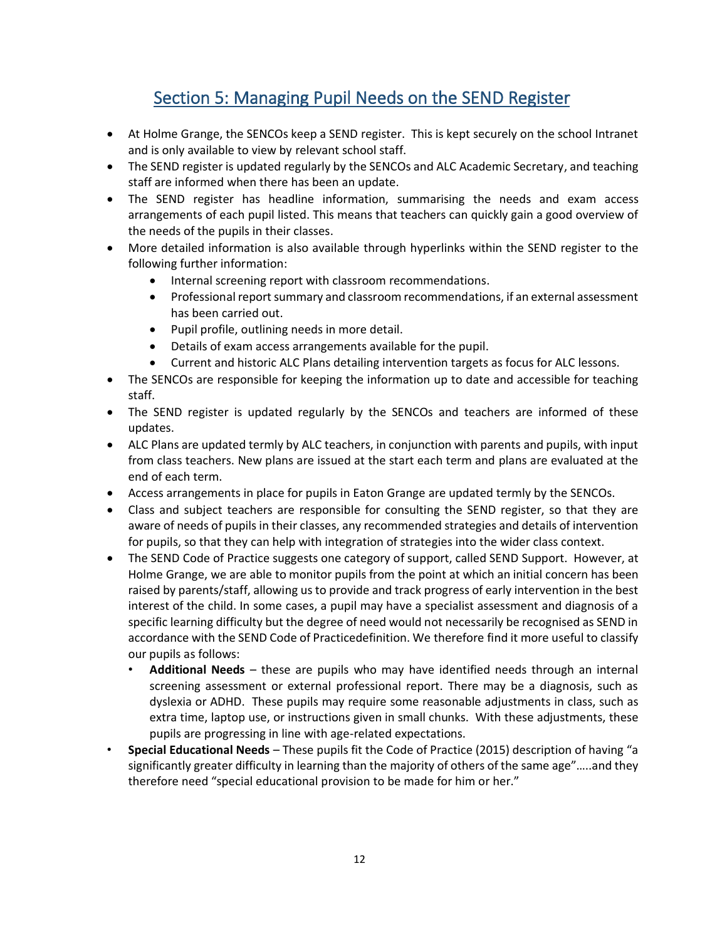## Section 5: Managing Pupil Needs on the SEND Register

- At Holme Grange, the SENCOs keep a SEND register. This is kept securely on the school Intranet and is only available to view by relevant school staff.
- The SEND register is updated regularly by the SENCOs and ALC Academic Secretary, and teaching staff are informed when there has been an update.
- The SEND register has headline information, summarising the needs and exam access arrangements of each pupil listed. This means that teachers can quickly gain a good overview of the needs of the pupils in their classes.
- More detailed information is also available through hyperlinks within the SEND register to the following further information:
	- Internal screening report with classroom recommendations.
	- Professional report summary and classroom recommendations, if an external assessment has been carried out.
	- Pupil profile, outlining needs in more detail.
	- Details of exam access arrangements available for the pupil.
	- Current and historic ALC Plans detailing intervention targets as focus for ALC lessons.
- The SENCOs are responsible for keeping the information up to date and accessible for teaching staff.
- The SEND register is updated regularly by the SENCOs and teachers are informed of these updates.
- ALC Plans are updated termly by ALC teachers, in conjunction with parents and pupils, with input from class teachers. New plans are issued at the start each term and plans are evaluated at the end of each term.
- Access arrangements in place for pupils in Eaton Grange are updated termly by the SENCOs.
- Class and subject teachers are responsible for consulting the SEND register, so that they are aware of needs of pupils in their classes, any recommended strategies and details of intervention for pupils, so that they can help with integration of strategies into the wider class context.
- The SEND Code of Practice suggests one category of support, called SEND Support. However, at Holme Grange, we are able to monitor pupils from the point at which an initial concern has been raised by parents/staff, allowing us to provide and track progress of early intervention in the best interest of the child. In some cases, a pupil may have a specialist assessment and diagnosis of a specific learning difficulty but the degree of need would not necessarily be recognised as SEND in accordance with the SEND Code of Practicedefinition. We therefore find it more useful to classify our pupils as follows:
	- **Additional Needs** these are pupils who may have identified needs through an internal screening assessment or external professional report. There may be a diagnosis, such as dyslexia or ADHD. These pupils may require some reasonable adjustments in class, such as extra time, laptop use, or instructions given in small chunks. With these adjustments, these pupils are progressing in line with age-related expectations.
- **Special Educational Needs** These pupils fit the Code of Practice (2015) description of having "a significantly greater difficulty in learning than the majority of others of the same age".....and they therefore need "special educational provision to be made for him or her."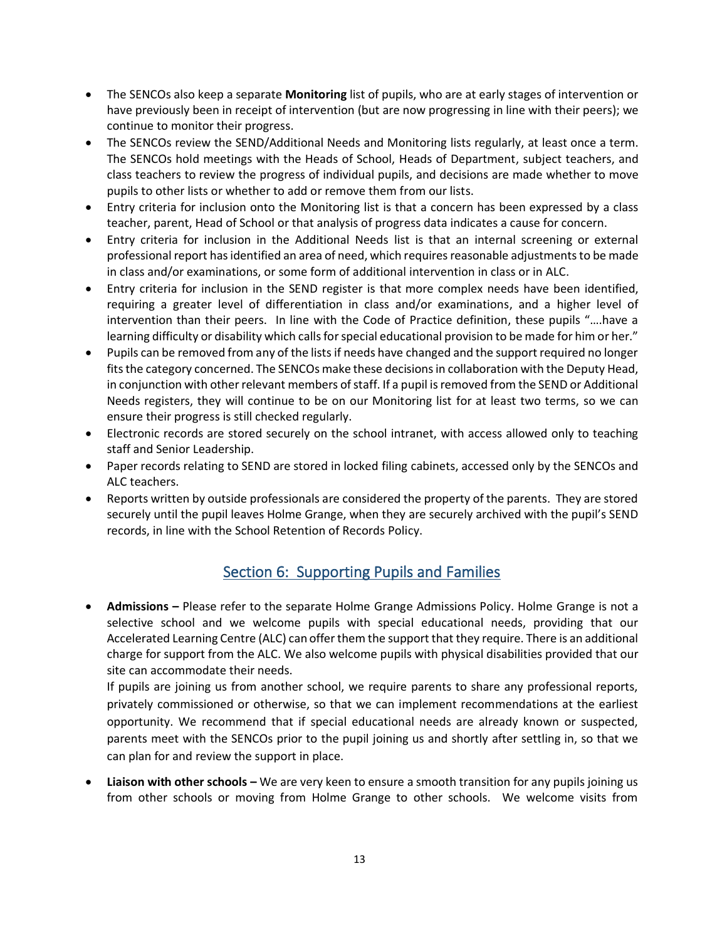- The SENCOs also keep a separate **Monitoring** list of pupils, who are at early stages of intervention or have previously been in receipt of intervention (but are now progressing in line with their peers); we continue to monitor their progress.
- The SENCOs review the SEND/Additional Needs and Monitoring lists regularly, at least once a term. The SENCOs hold meetings with the Heads of School, Heads of Department, subject teachers, and class teachers to review the progress of individual pupils, and decisions are made whether to move pupils to other lists or whether to add or remove them from our lists.
- Entry criteria for inclusion onto the Monitoring list is that a concern has been expressed by a class teacher, parent, Head of School or that analysis of progress data indicates a cause for concern.
- Entry criteria for inclusion in the Additional Needs list is that an internal screening or external professional report has identified an area of need, which requires reasonable adjustments to be made in class and/or examinations, or some form of additional intervention in class or in ALC.
- Entry criteria for inclusion in the SEND register is that more complex needs have been identified, requiring a greater level of differentiation in class and/or examinations, and a higher level of intervention than their peers. In line with the Code of Practice definition, these pupils "….have a learning difficulty or disability which calls for special educational provision to be made for him or her."
- Pupils can be removed from any of the lists if needs have changed and the support required no longer fits the category concerned. The SENCOs make these decisions in collaboration with the Deputy Head, in conjunction with other relevant members of staff. If a pupil is removed from the SEND or Additional Needs registers, they will continue to be on our Monitoring list for at least two terms, so we can ensure their progress is still checked regularly.
- Electronic records are stored securely on the school intranet, with access allowed only to teaching staff and Senior Leadership.
- Paper records relating to SEND are stored in locked filing cabinets, accessed only by the SENCOs and ALC teachers.
- Reports written by outside professionals are considered the property of the parents. They are stored securely until the pupil leaves Holme Grange, when they are securely archived with the pupil's SEND records, in line with the School Retention of Records Policy.

### Section 6: Supporting Pupils and Families

• **Admissions –** Please refer to the separate Holme Grange Admissions Policy. Holme Grange is not a selective school and we welcome pupils with special educational needs, providing that our Accelerated Learning Centre (ALC) can offer them the support that they require. There is an additional charge for support from the ALC. We also welcome pupils with physical disabilities provided that our site can accommodate their needs.

If pupils are joining us from another school, we require parents to share any professional reports, privately commissioned or otherwise, so that we can implement recommendations at the earliest opportunity. We recommend that if special educational needs are already known or suspected, parents meet with the SENCOs prior to the pupil joining us and shortly after settling in, so that we can plan for and review the support in place.

• **Liaison with other schools –** We are very keen to ensure a smooth transition for any pupils joining us from other schools or moving from Holme Grange to other schools. We welcome visits from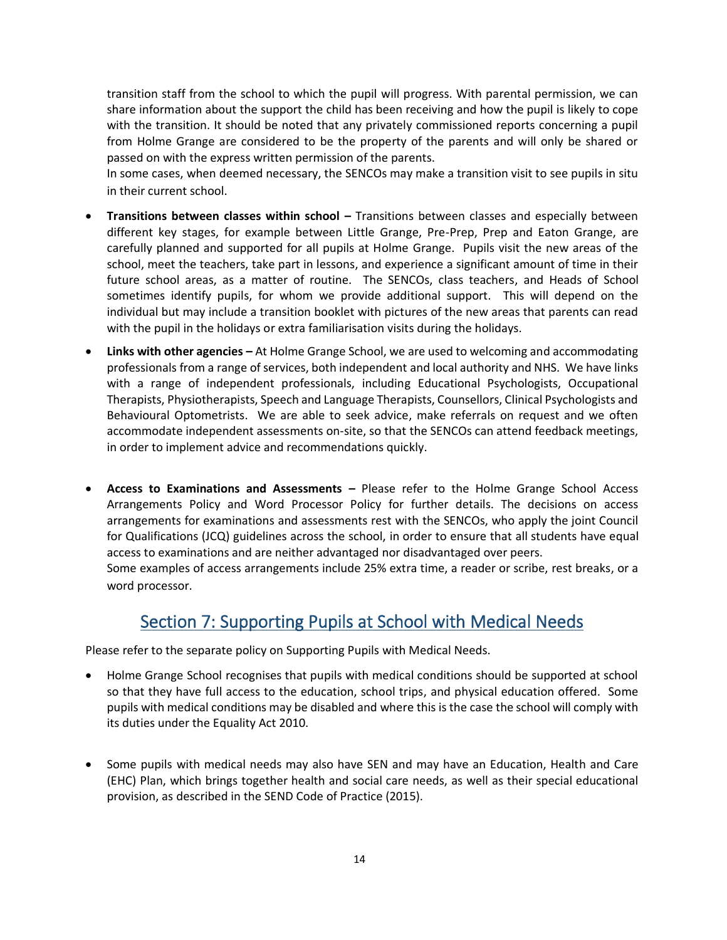transition staff from the school to which the pupil will progress. With parental permission, we can share information about the support the child has been receiving and how the pupil is likely to cope with the transition. It should be noted that any privately commissioned reports concerning a pupil from Holme Grange are considered to be the property of the parents and will only be shared or passed on with the express written permission of the parents.

In some cases, when deemed necessary, the SENCOs may make a transition visit to see pupils in situ in their current school.

- **Transitions between classes within school –** Transitions between classes and especially between different key stages, for example between Little Grange, Pre-Prep, Prep and Eaton Grange, are carefully planned and supported for all pupils at Holme Grange. Pupils visit the new areas of the school, meet the teachers, take part in lessons, and experience a significant amount of time in their future school areas, as a matter of routine. The SENCOs, class teachers, and Heads of School sometimes identify pupils, for whom we provide additional support. This will depend on the individual but may include a transition booklet with pictures of the new areas that parents can read with the pupil in the holidays or extra familiarisation visits during the holidays.
- **Links with other agencies –** At Holme Grange School, we are used to welcoming and accommodating professionals from a range of services, both independent and local authority and NHS. We have links with a range of independent professionals, including Educational Psychologists, Occupational Therapists, Physiotherapists, Speech and Language Therapists, Counsellors, Clinical Psychologists and Behavioural Optometrists. We are able to seek advice, make referrals on request and we often accommodate independent assessments on-site, so that the SENCOs can attend feedback meetings, in order to implement advice and recommendations quickly.
- **Access to Examinations and Assessments –** Please refer to the Holme Grange School Access Arrangements Policy and Word Processor Policy for further details. The decisions on access arrangements for examinations and assessments rest with the SENCOs, who apply the joint Council for Qualifications (JCQ) guidelines across the school, in order to ensure that all students have equal access to examinations and are neither advantaged nor disadvantaged over peers.

Some examples of access arrangements include 25% extra time, a reader or scribe, rest breaks, or a word processor.

### Section 7: Supporting Pupils at School with Medical Needs

Please refer to the separate policy on Supporting Pupils with Medical Needs.

- Holme Grange School recognises that pupils with medical conditions should be supported at school so that they have full access to the education, school trips, and physical education offered. Some pupils with medical conditions may be disabled and where this is the case the school will comply with its duties under the Equality Act 2010.
- Some pupils with medical needs may also have SEN and may have an Education, Health and Care (EHC) Plan, which brings together health and social care needs, as well as their special educational provision, as described in the SEND Code of Practice (2015).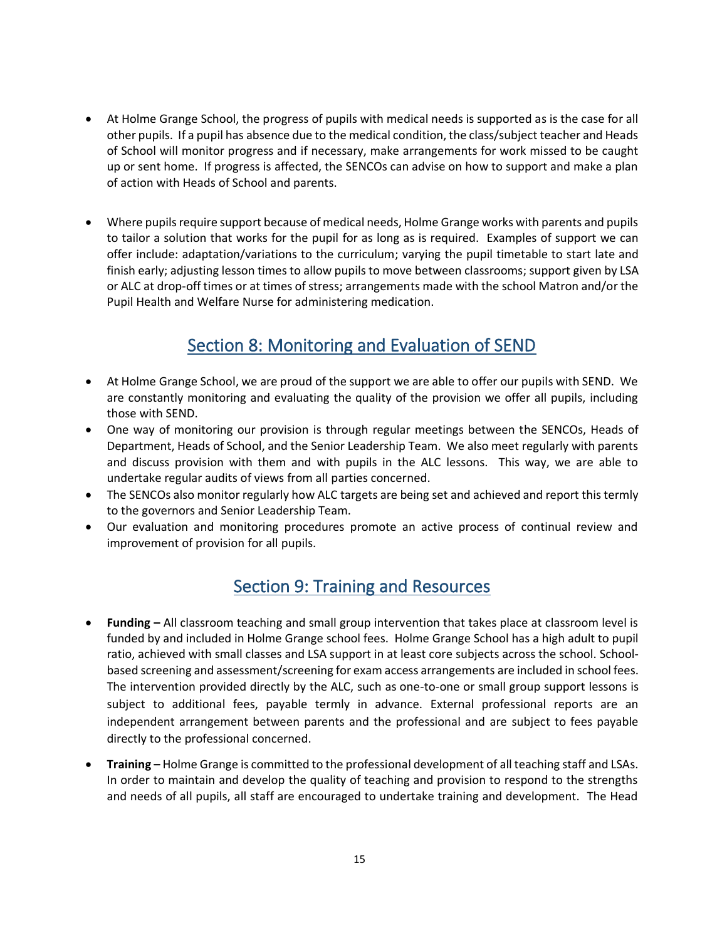- At Holme Grange School, the progress of pupils with medical needs is supported as is the case for all other pupils. If a pupil has absence due to the medical condition, the class/subject teacher and Heads of School will monitor progress and if necessary, make arrangements for work missed to be caught up or sent home. If progress is affected, the SENCOs can advise on how to support and make a plan of action with Heads of School and parents.
- Where pupils require support because of medical needs, Holme Grange works with parents and pupils to tailor a solution that works for the pupil for as long as is required. Examples of support we can offer include: adaptation/variations to the curriculum; varying the pupil timetable to start late and finish early; adjusting lesson times to allow pupils to move between classrooms; support given by LSA or ALC at drop-off times or at times of stress; arrangements made with the school Matron and/or the Pupil Health and Welfare Nurse for administering medication.

### Section 8: Monitoring and Evaluation of SEND

- At Holme Grange School, we are proud of the support we are able to offer our pupils with SEND. We are constantly monitoring and evaluating the quality of the provision we offer all pupils, including those with SEND.
- One way of monitoring our provision is through regular meetings between the SENCOs, Heads of Department, Heads of School, and the Senior Leadership Team. We also meet regularly with parents and discuss provision with them and with pupils in the ALC lessons. This way, we are able to undertake regular audits of views from all parties concerned.
- The SENCOs also monitor regularly how ALC targets are being set and achieved and report this termly to the governors and Senior Leadership Team.
- Our evaluation and monitoring procedures promote an active process of continual review and improvement of provision for all pupils.

### Section 9: Training and Resources

- **Funding –** All classroom teaching and small group intervention that takes place at classroom level is funded by and included in Holme Grange school fees. Holme Grange School has a high adult to pupil ratio, achieved with small classes and LSA support in at least core subjects across the school. Schoolbased screening and assessment/screening for exam access arrangements are included in school fees. The intervention provided directly by the ALC, such as one-to-one or small group support lessons is subject to additional fees, payable termly in advance. External professional reports are an independent arrangement between parents and the professional and are subject to fees payable directly to the professional concerned.
- **Training –** Holme Grange is committed to the professional development of all teaching staff and LSAs. In order to maintain and develop the quality of teaching and provision to respond to the strengths and needs of all pupils, all staff are encouraged to undertake training and development. The Head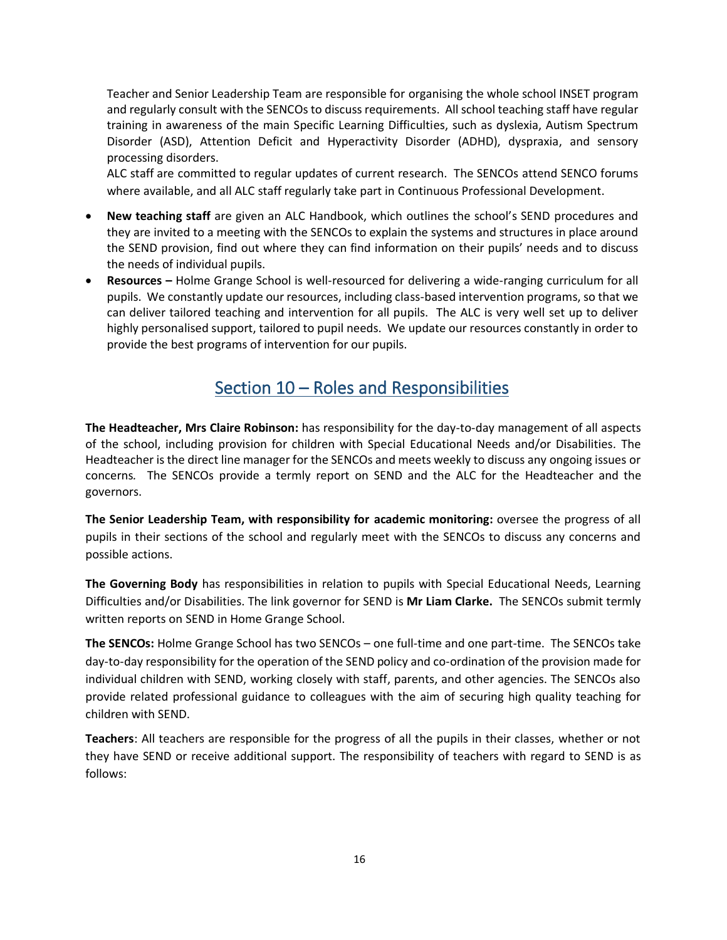Teacher and Senior Leadership Team are responsible for organising the whole school INSET program and regularly consult with the SENCOs to discuss requirements. All school teaching staff have regular training in awareness of the main Specific Learning Difficulties, such as dyslexia, Autism Spectrum Disorder (ASD), Attention Deficit and Hyperactivity Disorder (ADHD), dyspraxia, and sensory processing disorders.

ALC staff are committed to regular updates of current research. The SENCOs attend SENCO forums where available, and all ALC staff regularly take part in Continuous Professional Development.

- **New teaching staff** are given an ALC Handbook, which outlines the school's SEND procedures and they are invited to a meeting with the SENCOs to explain the systems and structures in place around the SEND provision, find out where they can find information on their pupils' needs and to discuss the needs of individual pupils.
- **Resources –** Holme Grange School is well-resourced for delivering a wide-ranging curriculum for all pupils. We constantly update our resources, including class-based intervention programs, so that we can deliver tailored teaching and intervention for all pupils. The ALC is very well set up to deliver highly personalised support, tailored to pupil needs. We update our resources constantly in order to provide the best programs of intervention for our pupils.

### Section 10 – Roles and Responsibilities

**The Headteacher, Mrs Claire Robinson:** has responsibility for the day-to-day management of all aspects of the school, including provision for children with Special Educational Needs and/or Disabilities*.* The Headteacher is the direct line manager for the SENCOs and meets weekly to discuss any ongoing issues or concerns*.* The SENCOs provide a termly report on SEND and the ALC for the Headteacher and the governors.

**The Senior Leadership Team, with responsibility for academic monitoring:** oversee the progress of all pupils in their sections of the school and regularly meet with the SENCOs to discuss any concerns and possible actions.

**The Governing Body** has responsibilities in relation to pupils with Special Educational Needs, Learning Difficulties and/or Disabilities. The link governor for SEND is **Mr Liam Clarke.** The SENCOs submit termly written reports on SEND in Home Grange School.

**The SENCOs:** Holme Grange School has two SENCOs – one full-time and one part-time. The SENCOs take day-to-day responsibility for the operation of the SEND policy and co-ordination of the provision made for individual children with SEND, working closely with staff, parents, and other agencies. The SENCOs also provide related professional guidance to colleagues with the aim of securing high quality teaching for children with SEND.

**Teachers**: All teachers are responsible for the progress of all the pupils in their classes, whether or not they have SEND or receive additional support. The responsibility of teachers with regard to SEND is as follows: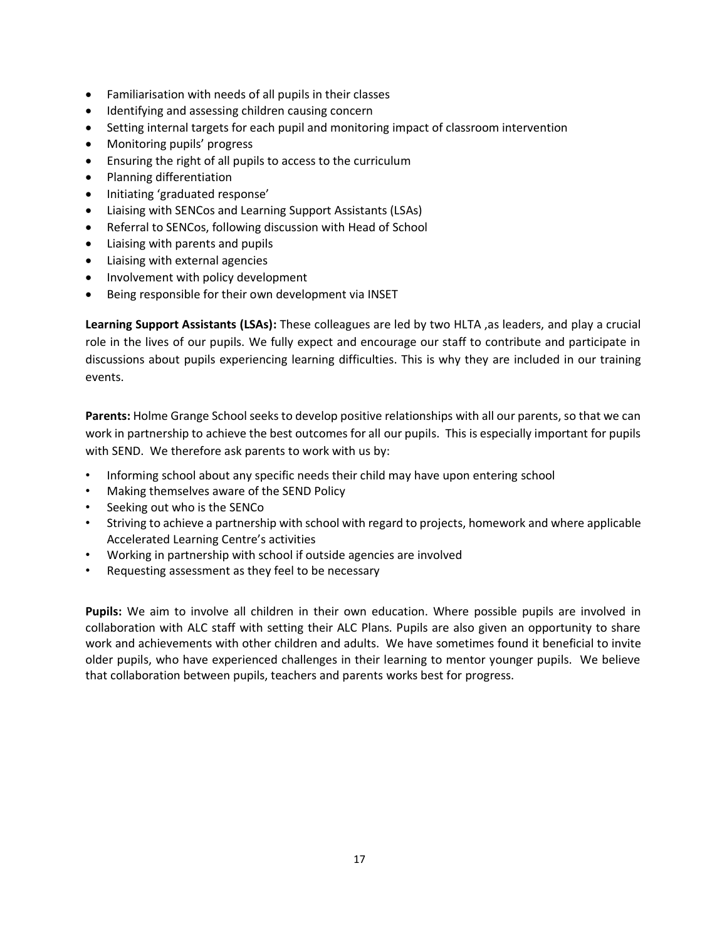- Familiarisation with needs of all pupils in their classes
- Identifying and assessing children causing concern
- Setting internal targets for each pupil and monitoring impact of classroom intervention
- Monitoring pupils' progress
- Ensuring the right of all pupils to access to the curriculum
- Planning differentiation
- Initiating 'graduated response'
- Liaising with SENCos and Learning Support Assistants (LSAs)
- Referral to SENCos, following discussion with Head of School
- Liaising with parents and pupils
- Liaising with external agencies
- Involvement with policy development
- Being responsible for their own development via INSET

**Learning Support Assistants (LSAs):** These colleagues are led by two HLTA ,as leaders, and play a crucial role in the lives of our pupils. We fully expect and encourage our staff to contribute and participate in discussions about pupils experiencing learning difficulties. This is why they are included in our training events.

**Parents:** Holme Grange School seeks to develop positive relationships with all our parents, so that we can work in partnership to achieve the best outcomes for all our pupils. This is especially important for pupils with SEND. We therefore ask parents to work with us by:

- Informing school about any specific needs their child may have upon entering school
- Making themselves aware of the SEND Policy
- Seeking out who is the SENCo
- Striving to achieve a partnership with school with regard to projects, homework and where applicable Accelerated Learning Centre's activities
- Working in partnership with school if outside agencies are involved
- Requesting assessment as they feel to be necessary

**Pupils:** We aim to involve all children in their own education. Where possible pupils are involved in collaboration with ALC staff with setting their ALC Plans. Pupils are also given an opportunity to share work and achievements with other children and adults. We have sometimes found it beneficial to invite older pupils, who have experienced challenges in their learning to mentor younger pupils. We believe that collaboration between pupils, teachers and parents works best for progress.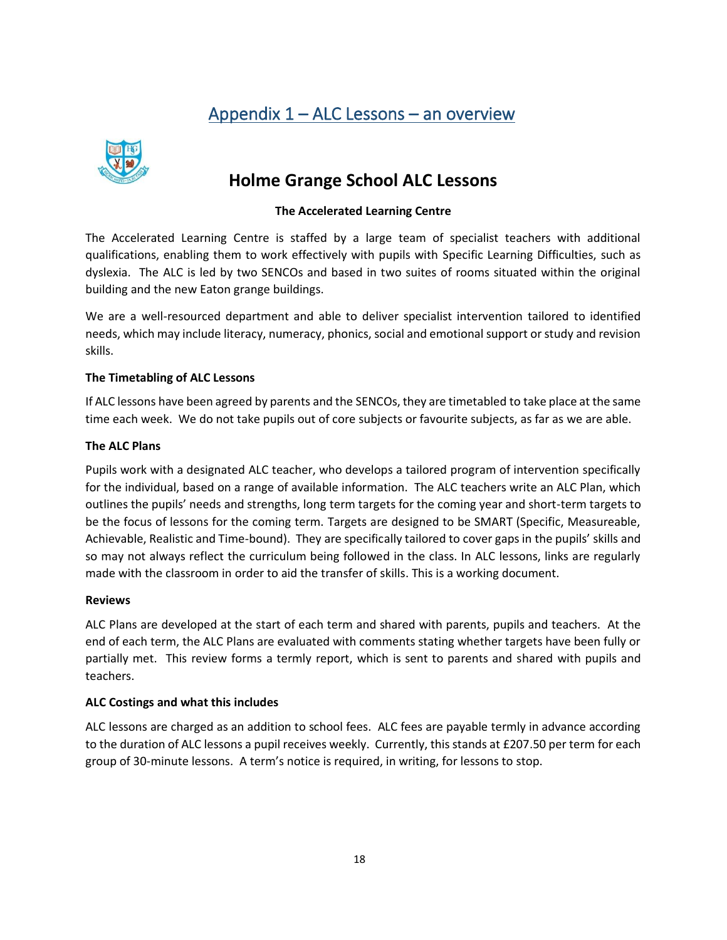### Appendix 1 – ALC Lessons – an overview



### **Holme Grange School ALC Lessons**

#### **The Accelerated Learning Centre**

The Accelerated Learning Centre is staffed by a large team of specialist teachers with additional qualifications, enabling them to work effectively with pupils with Specific Learning Difficulties, such as dyslexia. The ALC is led by two SENCOs and based in two suites of rooms situated within the original building and the new Eaton grange buildings.

We are a well-resourced department and able to deliver specialist intervention tailored to identified needs, which may include literacy, numeracy, phonics, social and emotional support or study and revision skills.

#### **The Timetabling of ALC Lessons**

If ALC lessons have been agreed by parents and the SENCOs, they are timetabled to take place at the same time each week. We do not take pupils out of core subjects or favourite subjects, as far as we are able.

#### **The ALC Plans**

Pupils work with a designated ALC teacher, who develops a tailored program of intervention specifically for the individual, based on a range of available information. The ALC teachers write an ALC Plan, which outlines the pupils' needs and strengths, long term targets for the coming year and short-term targets to be the focus of lessons for the coming term. Targets are designed to be SMART (Specific, Measureable, Achievable, Realistic and Time-bound). They are specifically tailored to cover gaps in the pupils' skills and so may not always reflect the curriculum being followed in the class. In ALC lessons, links are regularly made with the classroom in order to aid the transfer of skills. This is a working document.

#### **Reviews**

ALC Plans are developed at the start of each term and shared with parents, pupils and teachers. At the end of each term, the ALC Plans are evaluated with comments stating whether targets have been fully or partially met. This review forms a termly report, which is sent to parents and shared with pupils and teachers.

#### **ALC Costings and what this includes**

ALC lessons are charged as an addition to school fees. ALC fees are payable termly in advance according to the duration of ALC lessons a pupil receives weekly. Currently, this stands at £207.50 per term for each group of 30-minute lessons. A term's notice is required, in writing, for lessons to stop.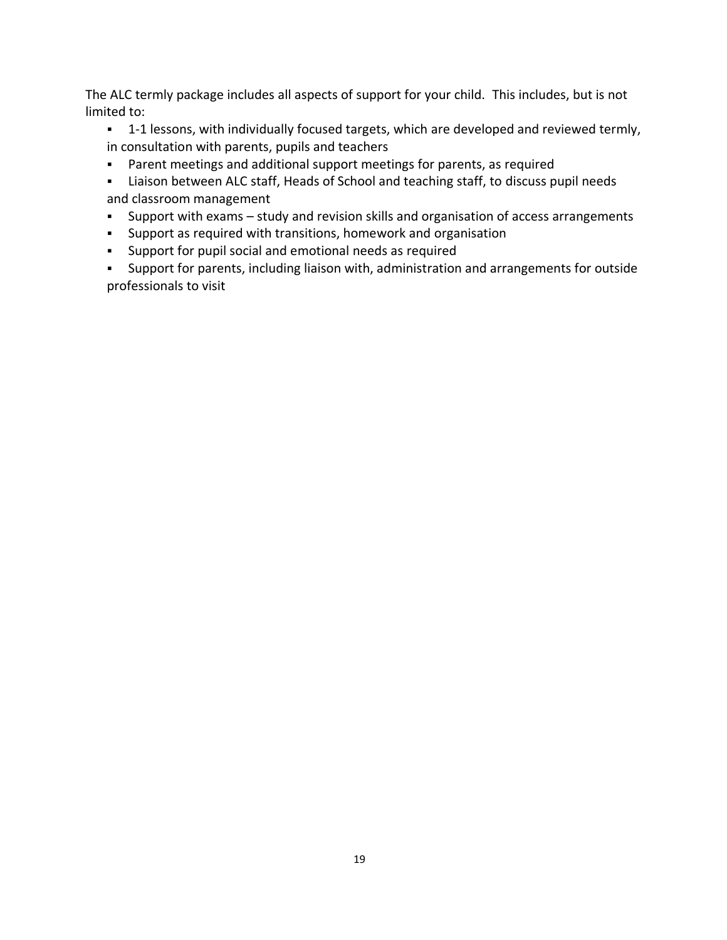The ALC termly package includes all aspects of support for your child. This includes, but is not limited to:

- 1-1 lessons, with individually focused targets, which are developed and reviewed termly, in consultation with parents, pupils and teachers
- Parent meetings and additional support meetings for parents, as required
- Liaison between ALC staff, Heads of School and teaching staff, to discuss pupil needs and classroom management
- Support with exams study and revision skills and organisation of access arrangements
- Support as required with transitions, homework and organisation
- Support for pupil social and emotional needs as required
- Support for parents, including liaison with, administration and arrangements for outside professionals to visit